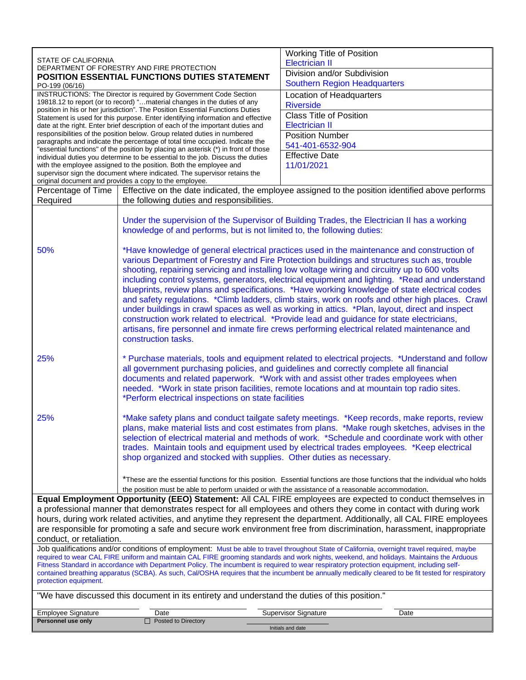| <b>Electrician II</b><br>DEPARTMENT OF FORESTRY AND FIRE PROTECTION<br>Division and/or Subdivision<br>POSITION ESSENTIAL FUNCTIONS DUTIES STATEMENT<br><b>Southern Region Headquarters</b><br>PO-199 (06/16)<br>INSTRUCTIONS: The Director is required by Government Code Section<br>Location of Headquarters<br>19818.12 to report (or to record) " material changes in the duties of any<br><b>Riverside</b><br>position in his or her jurisdiction". The Position Essential Functions Duties<br><b>Class Title of Position</b><br>Statement is used for this purpose. Enter identifying information and effective<br><b>Electrician II</b><br>date at the right. Enter brief description of each of the important duties and<br>responsibilities of the position below. Group related duties in numbered<br><b>Position Number</b><br>paragraphs and indicate the percentage of total time occupied. Indicate the<br>541-401-6532-904<br>"essential functions" of the position by placing an asterisk (*) in front of those<br><b>Effective Date</b><br>individual duties you determine to be essential to the job. Discuss the duties<br>11/01/2021<br>with the employee assigned to the position. Both the employee and<br>supervisor sign the document where indicated. The supervisor retains the<br>original document and provides a copy to the employee.<br>Effective on the date indicated, the employee assigned to the position identified above performs<br>Percentage of Time<br>the following duties and responsibilities.<br>Required<br>Under the supervision of the Supervisor of Building Trades, the Electrician II has a working<br>knowledge of and performs, but is not limited to, the following duties: |                                                                                                                                                                                              |  |  |  |
|-----------------------------------------------------------------------------------------------------------------------------------------------------------------------------------------------------------------------------------------------------------------------------------------------------------------------------------------------------------------------------------------------------------------------------------------------------------------------------------------------------------------------------------------------------------------------------------------------------------------------------------------------------------------------------------------------------------------------------------------------------------------------------------------------------------------------------------------------------------------------------------------------------------------------------------------------------------------------------------------------------------------------------------------------------------------------------------------------------------------------------------------------------------------------------------------------------------------------------------------------------------------------------------------------------------------------------------------------------------------------------------------------------------------------------------------------------------------------------------------------------------------------------------------------------------------------------------------------------------------------------------------------------------------------------------------------------------------------------------|----------------------------------------------------------------------------------------------------------------------------------------------------------------------------------------------|--|--|--|
|                                                                                                                                                                                                                                                                                                                                                                                                                                                                                                                                                                                                                                                                                                                                                                                                                                                                                                                                                                                                                                                                                                                                                                                                                                                                                                                                                                                                                                                                                                                                                                                                                                                                                                                                   |                                                                                                                                                                                              |  |  |  |
|                                                                                                                                                                                                                                                                                                                                                                                                                                                                                                                                                                                                                                                                                                                                                                                                                                                                                                                                                                                                                                                                                                                                                                                                                                                                                                                                                                                                                                                                                                                                                                                                                                                                                                                                   |                                                                                                                                                                                              |  |  |  |
|                                                                                                                                                                                                                                                                                                                                                                                                                                                                                                                                                                                                                                                                                                                                                                                                                                                                                                                                                                                                                                                                                                                                                                                                                                                                                                                                                                                                                                                                                                                                                                                                                                                                                                                                   |                                                                                                                                                                                              |  |  |  |
|                                                                                                                                                                                                                                                                                                                                                                                                                                                                                                                                                                                                                                                                                                                                                                                                                                                                                                                                                                                                                                                                                                                                                                                                                                                                                                                                                                                                                                                                                                                                                                                                                                                                                                                                   |                                                                                                                                                                                              |  |  |  |
|                                                                                                                                                                                                                                                                                                                                                                                                                                                                                                                                                                                                                                                                                                                                                                                                                                                                                                                                                                                                                                                                                                                                                                                                                                                                                                                                                                                                                                                                                                                                                                                                                                                                                                                                   |                                                                                                                                                                                              |  |  |  |
|                                                                                                                                                                                                                                                                                                                                                                                                                                                                                                                                                                                                                                                                                                                                                                                                                                                                                                                                                                                                                                                                                                                                                                                                                                                                                                                                                                                                                                                                                                                                                                                                                                                                                                                                   |                                                                                                                                                                                              |  |  |  |
|                                                                                                                                                                                                                                                                                                                                                                                                                                                                                                                                                                                                                                                                                                                                                                                                                                                                                                                                                                                                                                                                                                                                                                                                                                                                                                                                                                                                                                                                                                                                                                                                                                                                                                                                   |                                                                                                                                                                                              |  |  |  |
|                                                                                                                                                                                                                                                                                                                                                                                                                                                                                                                                                                                                                                                                                                                                                                                                                                                                                                                                                                                                                                                                                                                                                                                                                                                                                                                                                                                                                                                                                                                                                                                                                                                                                                                                   |                                                                                                                                                                                              |  |  |  |
|                                                                                                                                                                                                                                                                                                                                                                                                                                                                                                                                                                                                                                                                                                                                                                                                                                                                                                                                                                                                                                                                                                                                                                                                                                                                                                                                                                                                                                                                                                                                                                                                                                                                                                                                   |                                                                                                                                                                                              |  |  |  |
|                                                                                                                                                                                                                                                                                                                                                                                                                                                                                                                                                                                                                                                                                                                                                                                                                                                                                                                                                                                                                                                                                                                                                                                                                                                                                                                                                                                                                                                                                                                                                                                                                                                                                                                                   |                                                                                                                                                                                              |  |  |  |
|                                                                                                                                                                                                                                                                                                                                                                                                                                                                                                                                                                                                                                                                                                                                                                                                                                                                                                                                                                                                                                                                                                                                                                                                                                                                                                                                                                                                                                                                                                                                                                                                                                                                                                                                   |                                                                                                                                                                                              |  |  |  |
|                                                                                                                                                                                                                                                                                                                                                                                                                                                                                                                                                                                                                                                                                                                                                                                                                                                                                                                                                                                                                                                                                                                                                                                                                                                                                                                                                                                                                                                                                                                                                                                                                                                                                                                                   |                                                                                                                                                                                              |  |  |  |
|                                                                                                                                                                                                                                                                                                                                                                                                                                                                                                                                                                                                                                                                                                                                                                                                                                                                                                                                                                                                                                                                                                                                                                                                                                                                                                                                                                                                                                                                                                                                                                                                                                                                                                                                   |                                                                                                                                                                                              |  |  |  |
|                                                                                                                                                                                                                                                                                                                                                                                                                                                                                                                                                                                                                                                                                                                                                                                                                                                                                                                                                                                                                                                                                                                                                                                                                                                                                                                                                                                                                                                                                                                                                                                                                                                                                                                                   |                                                                                                                                                                                              |  |  |  |
|                                                                                                                                                                                                                                                                                                                                                                                                                                                                                                                                                                                                                                                                                                                                                                                                                                                                                                                                                                                                                                                                                                                                                                                                                                                                                                                                                                                                                                                                                                                                                                                                                                                                                                                                   |                                                                                                                                                                                              |  |  |  |
|                                                                                                                                                                                                                                                                                                                                                                                                                                                                                                                                                                                                                                                                                                                                                                                                                                                                                                                                                                                                                                                                                                                                                                                                                                                                                                                                                                                                                                                                                                                                                                                                                                                                                                                                   |                                                                                                                                                                                              |  |  |  |
|                                                                                                                                                                                                                                                                                                                                                                                                                                                                                                                                                                                                                                                                                                                                                                                                                                                                                                                                                                                                                                                                                                                                                                                                                                                                                                                                                                                                                                                                                                                                                                                                                                                                                                                                   |                                                                                                                                                                                              |  |  |  |
| 50%                                                                                                                                                                                                                                                                                                                                                                                                                                                                                                                                                                                                                                                                                                                                                                                                                                                                                                                                                                                                                                                                                                                                                                                                                                                                                                                                                                                                                                                                                                                                                                                                                                                                                                                               | *Have knowledge of general electrical practices used in the maintenance and construction of                                                                                                  |  |  |  |
| various Department of Forestry and Fire Protection buildings and structures such as, trouble                                                                                                                                                                                                                                                                                                                                                                                                                                                                                                                                                                                                                                                                                                                                                                                                                                                                                                                                                                                                                                                                                                                                                                                                                                                                                                                                                                                                                                                                                                                                                                                                                                      |                                                                                                                                                                                              |  |  |  |
| shooting, repairing servicing and installing low voltage wiring and circuitry up to 600 volts                                                                                                                                                                                                                                                                                                                                                                                                                                                                                                                                                                                                                                                                                                                                                                                                                                                                                                                                                                                                                                                                                                                                                                                                                                                                                                                                                                                                                                                                                                                                                                                                                                     |                                                                                                                                                                                              |  |  |  |
|                                                                                                                                                                                                                                                                                                                                                                                                                                                                                                                                                                                                                                                                                                                                                                                                                                                                                                                                                                                                                                                                                                                                                                                                                                                                                                                                                                                                                                                                                                                                                                                                                                                                                                                                   | including control systems, generators, electrical equipment and lighting. *Read and understand                                                                                               |  |  |  |
|                                                                                                                                                                                                                                                                                                                                                                                                                                                                                                                                                                                                                                                                                                                                                                                                                                                                                                                                                                                                                                                                                                                                                                                                                                                                                                                                                                                                                                                                                                                                                                                                                                                                                                                                   | blueprints, review plans and specifications. *Have working knowledge of state electrical codes                                                                                               |  |  |  |
|                                                                                                                                                                                                                                                                                                                                                                                                                                                                                                                                                                                                                                                                                                                                                                                                                                                                                                                                                                                                                                                                                                                                                                                                                                                                                                                                                                                                                                                                                                                                                                                                                                                                                                                                   | and safety regulations. *Climb ladders, climb stairs, work on roofs and other high places. Crawl                                                                                             |  |  |  |
| under buildings in crawl spaces as well as working in attics. *Plan, layout, direct and inspect                                                                                                                                                                                                                                                                                                                                                                                                                                                                                                                                                                                                                                                                                                                                                                                                                                                                                                                                                                                                                                                                                                                                                                                                                                                                                                                                                                                                                                                                                                                                                                                                                                   |                                                                                                                                                                                              |  |  |  |
| construction work related to electrical. *Provide lead and guidance for state electricians,                                                                                                                                                                                                                                                                                                                                                                                                                                                                                                                                                                                                                                                                                                                                                                                                                                                                                                                                                                                                                                                                                                                                                                                                                                                                                                                                                                                                                                                                                                                                                                                                                                       |                                                                                                                                                                                              |  |  |  |
| artisans, fire personnel and inmate fire crews performing electrical related maintenance and                                                                                                                                                                                                                                                                                                                                                                                                                                                                                                                                                                                                                                                                                                                                                                                                                                                                                                                                                                                                                                                                                                                                                                                                                                                                                                                                                                                                                                                                                                                                                                                                                                      |                                                                                                                                                                                              |  |  |  |
| construction tasks.                                                                                                                                                                                                                                                                                                                                                                                                                                                                                                                                                                                                                                                                                                                                                                                                                                                                                                                                                                                                                                                                                                                                                                                                                                                                                                                                                                                                                                                                                                                                                                                                                                                                                                               |                                                                                                                                                                                              |  |  |  |
| 25%                                                                                                                                                                                                                                                                                                                                                                                                                                                                                                                                                                                                                                                                                                                                                                                                                                                                                                                                                                                                                                                                                                                                                                                                                                                                                                                                                                                                                                                                                                                                                                                                                                                                                                                               | * Purchase materials, tools and equipment related to electrical projects. * Understand and follow<br>all government purchasing policies, and guidelines and correctly complete all financial |  |  |  |
|                                                                                                                                                                                                                                                                                                                                                                                                                                                                                                                                                                                                                                                                                                                                                                                                                                                                                                                                                                                                                                                                                                                                                                                                                                                                                                                                                                                                                                                                                                                                                                                                                                                                                                                                   |                                                                                                                                                                                              |  |  |  |
| documents and related paperwork. *Work with and assist other trades employees when                                                                                                                                                                                                                                                                                                                                                                                                                                                                                                                                                                                                                                                                                                                                                                                                                                                                                                                                                                                                                                                                                                                                                                                                                                                                                                                                                                                                                                                                                                                                                                                                                                                |                                                                                                                                                                                              |  |  |  |
| needed. *Work in state prison facilities, remote locations and at mountain top radio sites.                                                                                                                                                                                                                                                                                                                                                                                                                                                                                                                                                                                                                                                                                                                                                                                                                                                                                                                                                                                                                                                                                                                                                                                                                                                                                                                                                                                                                                                                                                                                                                                                                                       |                                                                                                                                                                                              |  |  |  |
| *Perform electrical inspections on state facilities                                                                                                                                                                                                                                                                                                                                                                                                                                                                                                                                                                                                                                                                                                                                                                                                                                                                                                                                                                                                                                                                                                                                                                                                                                                                                                                                                                                                                                                                                                                                                                                                                                                                               |                                                                                                                                                                                              |  |  |  |
|                                                                                                                                                                                                                                                                                                                                                                                                                                                                                                                                                                                                                                                                                                                                                                                                                                                                                                                                                                                                                                                                                                                                                                                                                                                                                                                                                                                                                                                                                                                                                                                                                                                                                                                                   |                                                                                                                                                                                              |  |  |  |
| *Make safety plans and conduct tailgate safety meetings. *Keep records, make reports, review<br>25%                                                                                                                                                                                                                                                                                                                                                                                                                                                                                                                                                                                                                                                                                                                                                                                                                                                                                                                                                                                                                                                                                                                                                                                                                                                                                                                                                                                                                                                                                                                                                                                                                               |                                                                                                                                                                                              |  |  |  |
|                                                                                                                                                                                                                                                                                                                                                                                                                                                                                                                                                                                                                                                                                                                                                                                                                                                                                                                                                                                                                                                                                                                                                                                                                                                                                                                                                                                                                                                                                                                                                                                                                                                                                                                                   | plans, make material lists and cost estimates from plans. *Make rough sketches, advises in the                                                                                               |  |  |  |
|                                                                                                                                                                                                                                                                                                                                                                                                                                                                                                                                                                                                                                                                                                                                                                                                                                                                                                                                                                                                                                                                                                                                                                                                                                                                                                                                                                                                                                                                                                                                                                                                                                                                                                                                   | selection of electrical material and methods of work. *Schedule and coordinate work with other                                                                                               |  |  |  |
| trades. Maintain tools and equipment used by electrical trades employees. *Keep electrical                                                                                                                                                                                                                                                                                                                                                                                                                                                                                                                                                                                                                                                                                                                                                                                                                                                                                                                                                                                                                                                                                                                                                                                                                                                                                                                                                                                                                                                                                                                                                                                                                                        |                                                                                                                                                                                              |  |  |  |
|                                                                                                                                                                                                                                                                                                                                                                                                                                                                                                                                                                                                                                                                                                                                                                                                                                                                                                                                                                                                                                                                                                                                                                                                                                                                                                                                                                                                                                                                                                                                                                                                                                                                                                                                   | shop organized and stocked with supplies. Other duties as necessary.                                                                                                                         |  |  |  |
|                                                                                                                                                                                                                                                                                                                                                                                                                                                                                                                                                                                                                                                                                                                                                                                                                                                                                                                                                                                                                                                                                                                                                                                                                                                                                                                                                                                                                                                                                                                                                                                                                                                                                                                                   |                                                                                                                                                                                              |  |  |  |
|                                                                                                                                                                                                                                                                                                                                                                                                                                                                                                                                                                                                                                                                                                                                                                                                                                                                                                                                                                                                                                                                                                                                                                                                                                                                                                                                                                                                                                                                                                                                                                                                                                                                                                                                   | *These are the essential functions for this position. Essential functions are those functions that the individual who holds                                                                  |  |  |  |
| the position must be able to perform unaided or with the assistance of a reasonable accommodation.                                                                                                                                                                                                                                                                                                                                                                                                                                                                                                                                                                                                                                                                                                                                                                                                                                                                                                                                                                                                                                                                                                                                                                                                                                                                                                                                                                                                                                                                                                                                                                                                                                |                                                                                                                                                                                              |  |  |  |
|                                                                                                                                                                                                                                                                                                                                                                                                                                                                                                                                                                                                                                                                                                                                                                                                                                                                                                                                                                                                                                                                                                                                                                                                                                                                                                                                                                                                                                                                                                                                                                                                                                                                                                                                   | Equal Employment Opportunity (EEO) Statement: All CAL FIRE employees are expected to conduct themselves in                                                                                   |  |  |  |
| a professional manner that demonstrates respect for all employees and others they come in contact with during work                                                                                                                                                                                                                                                                                                                                                                                                                                                                                                                                                                                                                                                                                                                                                                                                                                                                                                                                                                                                                                                                                                                                                                                                                                                                                                                                                                                                                                                                                                                                                                                                                |                                                                                                                                                                                              |  |  |  |
|                                                                                                                                                                                                                                                                                                                                                                                                                                                                                                                                                                                                                                                                                                                                                                                                                                                                                                                                                                                                                                                                                                                                                                                                                                                                                                                                                                                                                                                                                                                                                                                                                                                                                                                                   |                                                                                                                                                                                              |  |  |  |
| hours, during work related activities, and anytime they represent the department. Additionally, all CAL FIRE employees                                                                                                                                                                                                                                                                                                                                                                                                                                                                                                                                                                                                                                                                                                                                                                                                                                                                                                                                                                                                                                                                                                                                                                                                                                                                                                                                                                                                                                                                                                                                                                                                            |                                                                                                                                                                                              |  |  |  |
| are responsible for promoting a safe and secure work environment free from discrimination, harassment, inappropriate                                                                                                                                                                                                                                                                                                                                                                                                                                                                                                                                                                                                                                                                                                                                                                                                                                                                                                                                                                                                                                                                                                                                                                                                                                                                                                                                                                                                                                                                                                                                                                                                              |                                                                                                                                                                                              |  |  |  |
| conduct, or retaliation.                                                                                                                                                                                                                                                                                                                                                                                                                                                                                                                                                                                                                                                                                                                                                                                                                                                                                                                                                                                                                                                                                                                                                                                                                                                                                                                                                                                                                                                                                                                                                                                                                                                                                                          |                                                                                                                                                                                              |  |  |  |
| Job qualifications and/or conditions of employment: Must be able to travel throughout State of California, overnight travel required, maybe                                                                                                                                                                                                                                                                                                                                                                                                                                                                                                                                                                                                                                                                                                                                                                                                                                                                                                                                                                                                                                                                                                                                                                                                                                                                                                                                                                                                                                                                                                                                                                                       |                                                                                                                                                                                              |  |  |  |
| required to wear CAL FIRE uniform and maintain CAL FIRE grooming standards and work nights, weekend, and holidays. Maintains the Arduous<br>Fitness Standard in accordance with Department Policy. The incumbent is required to wear respiratory protection equipment, including self-                                                                                                                                                                                                                                                                                                                                                                                                                                                                                                                                                                                                                                                                                                                                                                                                                                                                                                                                                                                                                                                                                                                                                                                                                                                                                                                                                                                                                                            |                                                                                                                                                                                              |  |  |  |
| contained breathing apparatus (SCBA). As such, Cal/OSHA requires that the incumbent be annually medically cleared to be fit tested for respiratory                                                                                                                                                                                                                                                                                                                                                                                                                                                                                                                                                                                                                                                                                                                                                                                                                                                                                                                                                                                                                                                                                                                                                                                                                                                                                                                                                                                                                                                                                                                                                                                |                                                                                                                                                                                              |  |  |  |
| protection equipment.                                                                                                                                                                                                                                                                                                                                                                                                                                                                                                                                                                                                                                                                                                                                                                                                                                                                                                                                                                                                                                                                                                                                                                                                                                                                                                                                                                                                                                                                                                                                                                                                                                                                                                             |                                                                                                                                                                                              |  |  |  |
| "We have discussed this document in its entirety and understand the duties of this position."                                                                                                                                                                                                                                                                                                                                                                                                                                                                                                                                                                                                                                                                                                                                                                                                                                                                                                                                                                                                                                                                                                                                                                                                                                                                                                                                                                                                                                                                                                                                                                                                                                     |                                                                                                                                                                                              |  |  |  |
|                                                                                                                                                                                                                                                                                                                                                                                                                                                                                                                                                                                                                                                                                                                                                                                                                                                                                                                                                                                                                                                                                                                                                                                                                                                                                                                                                                                                                                                                                                                                                                                                                                                                                                                                   |                                                                                                                                                                                              |  |  |  |
| <b>Employee Signature</b><br><b>Supervisor Signature</b><br>Date<br>Date<br>Personnel use only<br>$\Box$ Posted to Directory                                                                                                                                                                                                                                                                                                                                                                                                                                                                                                                                                                                                                                                                                                                                                                                                                                                                                                                                                                                                                                                                                                                                                                                                                                                                                                                                                                                                                                                                                                                                                                                                      |                                                                                                                                                                                              |  |  |  |